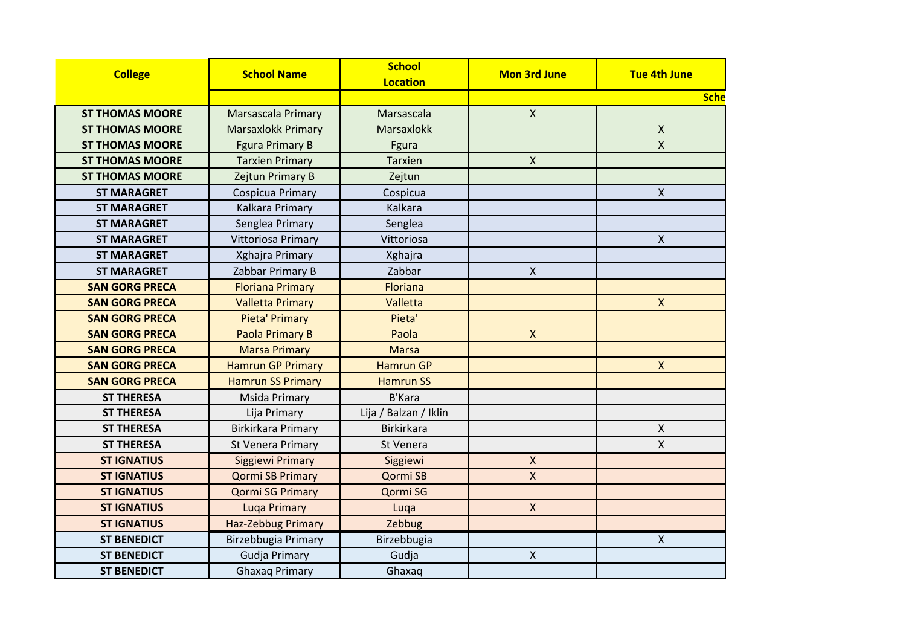| <b>College</b>         | <b>School Name</b>        | <b>School</b><br><b>Location</b> | <b>Mon 3rd June</b> | <b>Tue 4th June</b> |
|------------------------|---------------------------|----------------------------------|---------------------|---------------------|
|                        |                           |                                  |                     | <b>Sche</b>         |
| <b>ST THOMAS MOORE</b> | <b>Marsascala Primary</b> | Marsascala                       | $\mathsf{X}$        |                     |
| <b>ST THOMAS MOORE</b> | <b>Marsaxlokk Primary</b> | Marsaxlokk                       |                     | $\mathsf X$         |
| <b>ST THOMAS MOORE</b> | <b>Fgura Primary B</b>    | Fgura                            |                     | $\pmb{\mathsf{X}}$  |
| <b>ST THOMAS MOORE</b> | <b>Tarxien Primary</b>    | <b>Tarxien</b>                   | $\mathsf{X}$        |                     |
| <b>ST THOMAS MOORE</b> | Zejtun Primary B          | Zejtun                           |                     |                     |
| <b>ST MARAGRET</b>     | Cospicua Primary          | Cospicua                         |                     | X                   |
| <b>ST MARAGRET</b>     | Kalkara Primary           | Kalkara                          |                     |                     |
| <b>ST MARAGRET</b>     | Senglea Primary           | Senglea                          |                     |                     |
| <b>ST MARAGRET</b>     | Vittoriosa Primary        | Vittoriosa                       |                     | $\pmb{\times}$      |
| <b>ST MARAGRET</b>     | Xghajra Primary           | Xghajra                          |                     |                     |
| <b>ST MARAGRET</b>     | Zabbar Primary B          | Zabbar                           | $\mathsf{X}$        |                     |
| <b>SAN GORG PRECA</b>  | <b>Floriana Primary</b>   | Floriana                         |                     |                     |
| <b>SAN GORG PRECA</b>  | <b>Valletta Primary</b>   | Valletta                         |                     | $\mathsf{X}$        |
| <b>SAN GORG PRECA</b>  | Pieta' Primary            | Pieta'                           |                     |                     |
| <b>SAN GORG PRECA</b>  | Paola Primary B           | Paola                            | $\mathsf{X}$        |                     |
| <b>SAN GORG PRECA</b>  | <b>Marsa Primary</b>      | <b>Marsa</b>                     |                     |                     |
| <b>SAN GORG PRECA</b>  | <b>Hamrun GP Primary</b>  | <b>Hamrun GP</b>                 |                     | $\mathsf{X}$        |
| <b>SAN GORG PRECA</b>  | <b>Hamrun SS Primary</b>  | <b>Hamrun SS</b>                 |                     |                     |
| <b>ST THERESA</b>      | Msida Primary             | <b>B'Kara</b>                    |                     |                     |
| <b>ST THERESA</b>      | Lija Primary              | Lija / Balzan / Iklin            |                     |                     |
| <b>ST THERESA</b>      | <b>Birkirkara Primary</b> | <b>Birkirkara</b>                |                     | X                   |
| <b>ST THERESA</b>      | St Venera Primary         | St Venera                        |                     | $\pmb{\times}$      |
| <b>ST IGNATIUS</b>     | Siggiewi Primary          | Siggiewi                         | X                   |                     |
| <b>ST IGNATIUS</b>     | <b>Qormi SB Primary</b>   | Qormi SB                         | $\mathsf{X}$        |                     |
| <b>ST IGNATIUS</b>     | <b>Qormi SG Primary</b>   | Qormi SG                         |                     |                     |
| <b>ST IGNATIUS</b>     | <b>Luqa Primary</b>       | Luqa                             | $\mathsf{X}$        |                     |
| <b>ST IGNATIUS</b>     | Haz-Zebbug Primary        | Zebbug                           |                     |                     |
| <b>ST BENEDICT</b>     | Birzebbugia Primary       | Birzebbugia                      |                     | $\mathsf{X}$        |
| <b>ST BENEDICT</b>     | <b>Gudja Primary</b>      | Gudja                            | $\pmb{\mathsf{X}}$  |                     |
| <b>ST BENEDICT</b>     | <b>Ghaxaq Primary</b>     | Ghaxaq                           |                     |                     |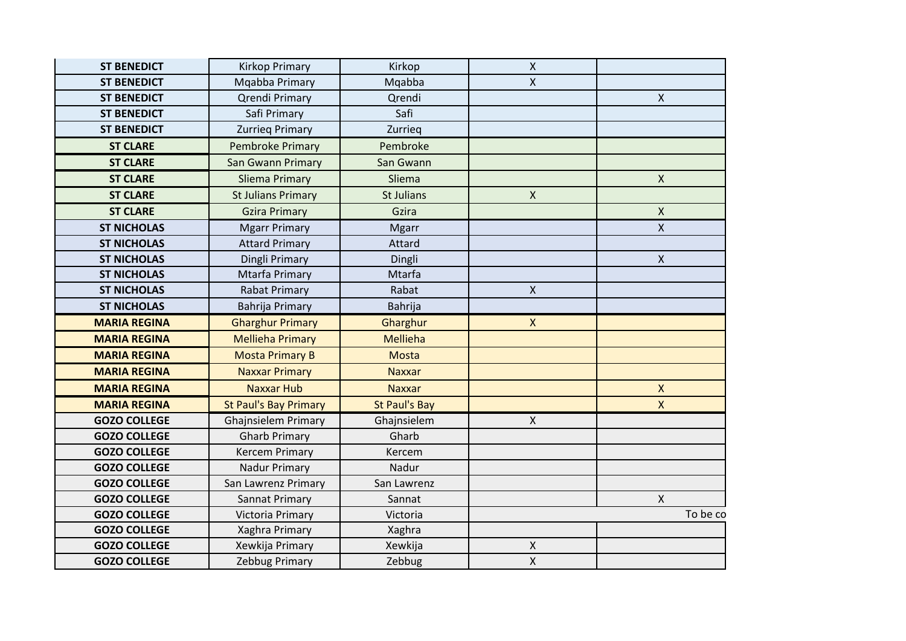| <b>ST BENEDICT</b>  | <b>Kirkop Primary</b>        | Kirkop               | $\pmb{\mathsf{X}}$ |              |
|---------------------|------------------------------|----------------------|--------------------|--------------|
| <b>ST BENEDICT</b>  | Mqabba Primary               | Mqabba               | X                  |              |
| <b>ST BENEDICT</b>  | <b>Qrendi Primary</b>        | Qrendi               |                    | $\mathsf{X}$ |
| <b>ST BENEDICT</b>  | Safi Primary                 | Safi                 |                    |              |
| <b>ST BENEDICT</b>  | <b>Zurrieg Primary</b>       | Zurrieg              |                    |              |
| <b>ST CLARE</b>     | <b>Pembroke Primary</b>      | Pembroke             |                    |              |
| <b>ST CLARE</b>     | San Gwann Primary            | San Gwann            |                    |              |
| <b>ST CLARE</b>     | <b>Sliema Primary</b>        | Sliema               |                    | $\mathsf{X}$ |
| <b>ST CLARE</b>     | <b>St Julians Primary</b>    | St Julians           | $\pmb{\times}$     |              |
| <b>ST CLARE</b>     | <b>Gzira Primary</b>         | Gzira                |                    | $\mathsf{X}$ |
| <b>ST NICHOLAS</b>  | <b>Mgarr Primary</b>         | <b>Mgarr</b>         |                    | $\mathsf{X}$ |
| <b>ST NICHOLAS</b>  | <b>Attard Primary</b>        | Attard               |                    |              |
| <b>ST NICHOLAS</b>  | Dingli Primary               | Dingli               |                    | $\mathsf{X}$ |
| <b>ST NICHOLAS</b>  | Mtarfa Primary               | Mtarfa               |                    |              |
| <b>ST NICHOLAS</b>  | <b>Rabat Primary</b>         | Rabat                | $\mathsf X$        |              |
| <b>ST NICHOLAS</b>  | Bahrija Primary              | Bahrija              |                    |              |
| <b>MARIA REGINA</b> | <b>Gharghur Primary</b>      | Gharghur             | $\mathsf{X}$       |              |
| <b>MARIA REGINA</b> | <b>Mellieha Primary</b>      | <b>Mellieha</b>      |                    |              |
| <b>MARIA REGINA</b> | <b>Mosta Primary B</b>       | <b>Mosta</b>         |                    |              |
| <b>MARIA REGINA</b> | <b>Naxxar Primary</b>        | <b>Naxxar</b>        |                    |              |
| <b>MARIA REGINA</b> | <b>Naxxar Hub</b>            | <b>Naxxar</b>        |                    | $\mathsf{X}$ |
| <b>MARIA REGINA</b> | <b>St Paul's Bay Primary</b> | <b>St Paul's Bay</b> |                    | $\mathsf{X}$ |
| <b>GOZO COLLEGE</b> | <b>Ghajnsielem Primary</b>   | Ghajnsielem          | X                  |              |
| <b>GOZO COLLEGE</b> | <b>Gharb Primary</b>         | Gharb                |                    |              |
| <b>GOZO COLLEGE</b> | <b>Kercem Primary</b>        | Kercem               |                    |              |
| <b>GOZO COLLEGE</b> | Nadur Primary                | Nadur                |                    |              |
| <b>GOZO COLLEGE</b> | San Lawrenz Primary          | San Lawrenz          |                    |              |
| <b>GOZO COLLEGE</b> | Sannat Primary               | Sannat               |                    | $\mathsf{X}$ |
| <b>GOZO COLLEGE</b> | Victoria Primary             | Victoria             |                    | To be co     |
| <b>GOZO COLLEGE</b> | Xaghra Primary               | Xaghra               |                    |              |
| <b>GOZO COLLEGE</b> | Xewkija Primary              | Xewkija              | Χ                  |              |
| <b>GOZO COLLEGE</b> | Zebbug Primary               | Zebbug               | Χ                  |              |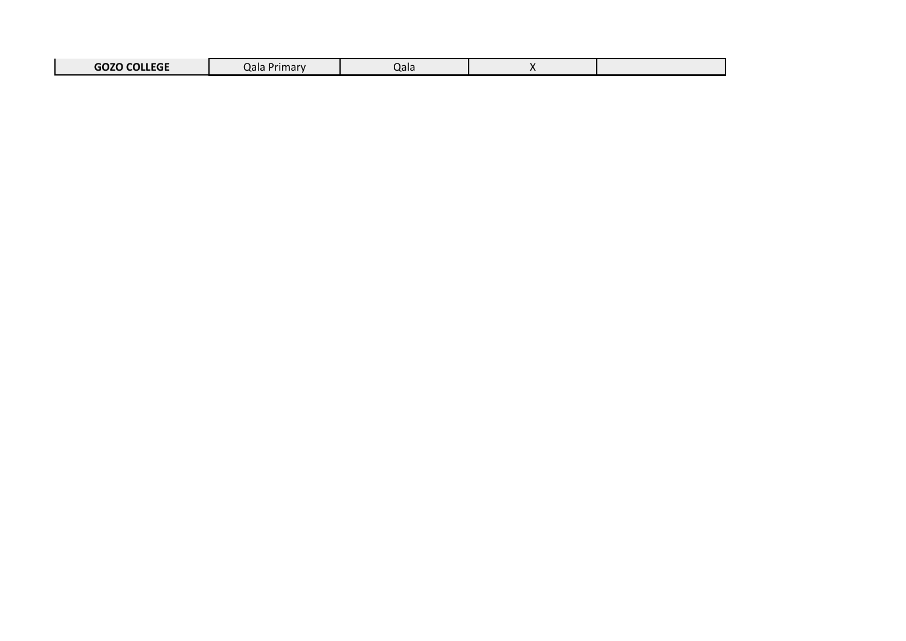| 0.2200011705<br>שני<br>JULLEYE | $1 \dots \dots \dots$<br>.⁄rimarv<br>Jdid | . ורו<br><b>Jai</b> c |  |  |
|--------------------------------|-------------------------------------------|-----------------------|--|--|
|--------------------------------|-------------------------------------------|-----------------------|--|--|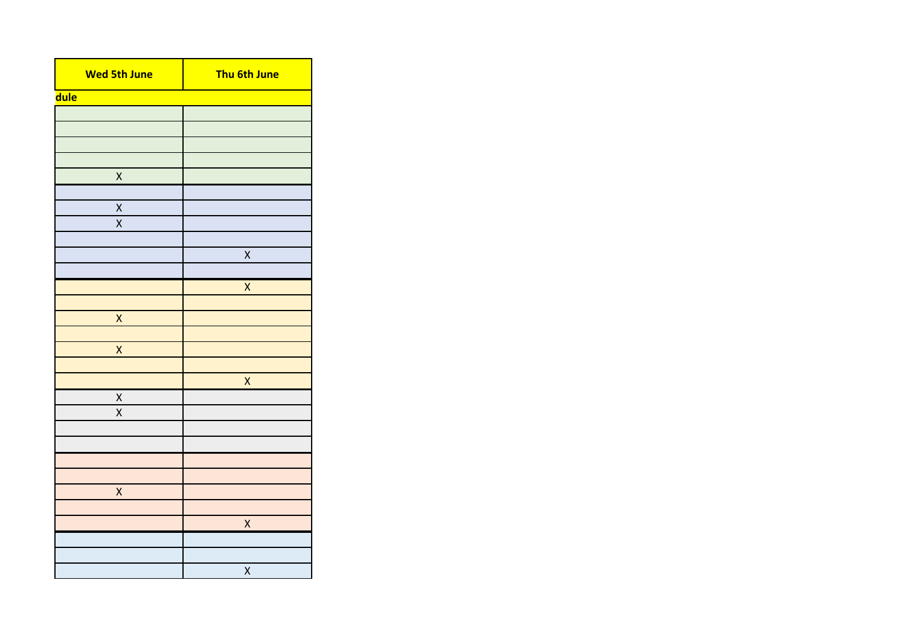| <b>Wed 5th June</b>     | Thu 6th June       |
|-------------------------|--------------------|
| <b>dule</b>             |                    |
|                         |                    |
|                         |                    |
|                         |                    |
|                         |                    |
| $\mathsf X$             |                    |
|                         |                    |
| X<br>$\pmb{\mathsf{X}}$ |                    |
|                         |                    |
|                         | X                  |
|                         |                    |
|                         | $\overline{X}$     |
|                         |                    |
| X                       |                    |
|                         |                    |
| $\pmb{\mathsf{X}}$      |                    |
|                         |                    |
|                         | $\pmb{\mathsf{X}}$ |
| X                       |                    |
| $\overline{\mathsf{X}}$ |                    |
|                         |                    |
|                         |                    |
|                         |                    |
| X                       |                    |
|                         |                    |
|                         | $\mathsf{X}$       |
|                         |                    |
|                         |                    |
|                         | X                  |